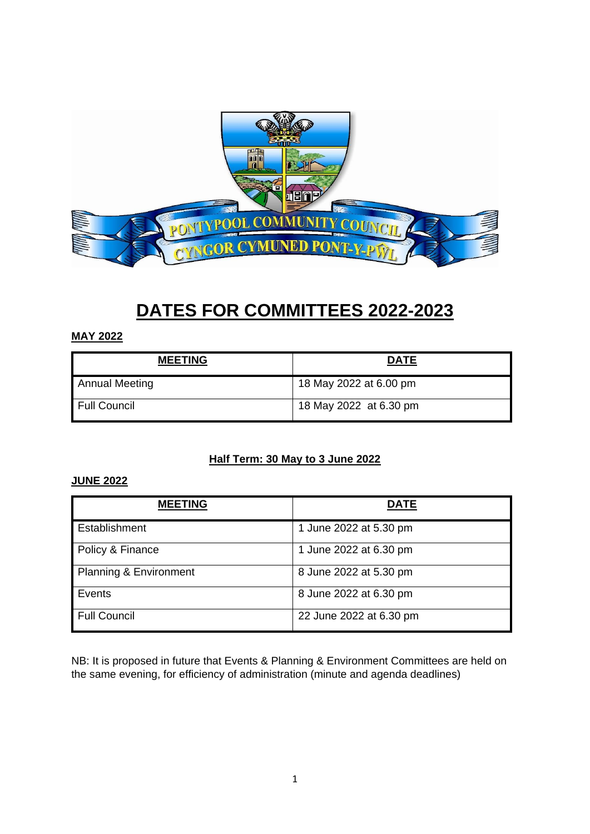

# **DATES FOR COMMITTEES 2022-2023**

#### **MAY 2022**

| <b>MEETING</b>        | <b>DATE</b>            |
|-----------------------|------------------------|
| <b>Annual Meeting</b> | 18 May 2022 at 6.00 pm |
| Full Council          | 18 May 2022 at 6.30 pm |

## **Half Term: 30 May to 3 June 2022**

#### **JUNE 2022**

| <b>MEETING</b>                    | <b>DATE</b>             |
|-----------------------------------|-------------------------|
| Establishment                     | 1 June 2022 at 5.30 pm  |
| Policy & Finance                  | 1 June 2022 at 6.30 pm  |
| <b>Planning &amp; Environment</b> | 8 June 2022 at 5.30 pm  |
| Events                            | 8 June 2022 at 6.30 pm  |
| <b>Full Council</b>               | 22 June 2022 at 6.30 pm |

NB: It is proposed in future that Events & Planning & Environment Committees are held on the same evening, for efficiency of administration (minute and agenda deadlines)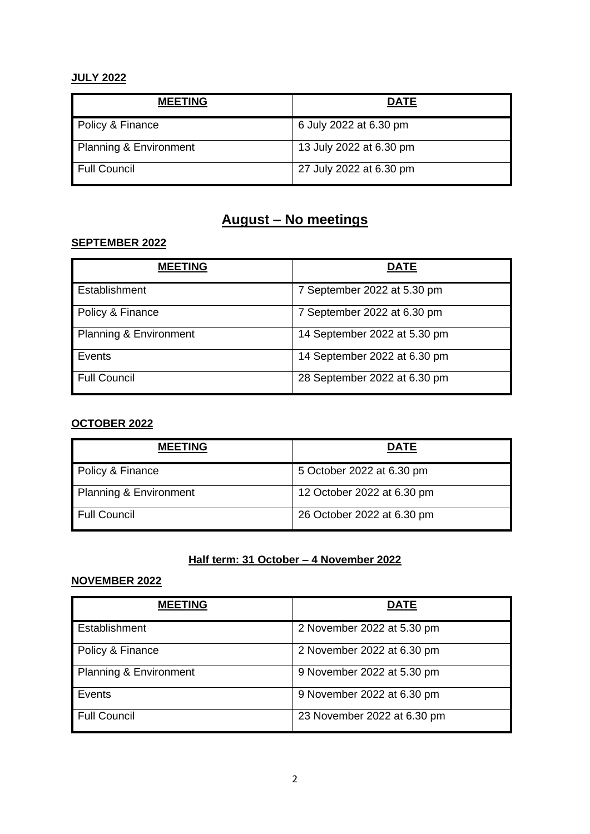## **JULY 2022**

| <b>MEETING</b>         | <b>DATE</b>             |
|------------------------|-------------------------|
| Policy & Finance       | 6 July 2022 at 6.30 pm  |
| Planning & Environment | 13 July 2022 at 6.30 pm |
| <b>Full Council</b>    | 27 July 2022 at 6.30 pm |

## **August – No meetings**

#### **SEPTEMBER 2022**

| <b>MEETING</b>         | DATE                         |
|------------------------|------------------------------|
| Establishment          | 7 September 2022 at 5.30 pm  |
| Policy & Finance       | 7 September 2022 at 6.30 pm  |
| Planning & Environment | 14 September 2022 at 5.30 pm |
| Events                 | 14 September 2022 at 6.30 pm |
| <b>Full Council</b>    | 28 September 2022 at 6.30 pm |

## **OCTOBER 2022**

| <b>MEETING</b>         | <b>DATE</b>                |
|------------------------|----------------------------|
| Policy & Finance       | 5 October 2022 at 6.30 pm  |
| Planning & Environment | 12 October 2022 at 6.30 pm |
| Full Council           | 26 October 2022 at 6.30 pm |

## **Half term: 31 October – 4 November 2022**

## **NOVEMBER 2022**

| <b>MEETING</b>                    | <b>DATE</b>                 |
|-----------------------------------|-----------------------------|
| Establishment                     | 2 November 2022 at 5.30 pm  |
| Policy & Finance                  | 2 November 2022 at 6.30 pm  |
| <b>Planning &amp; Environment</b> | 9 November 2022 at 5.30 pm  |
| Events                            | 9 November 2022 at 6.30 pm  |
| <b>Full Council</b>               | 23 November 2022 at 6.30 pm |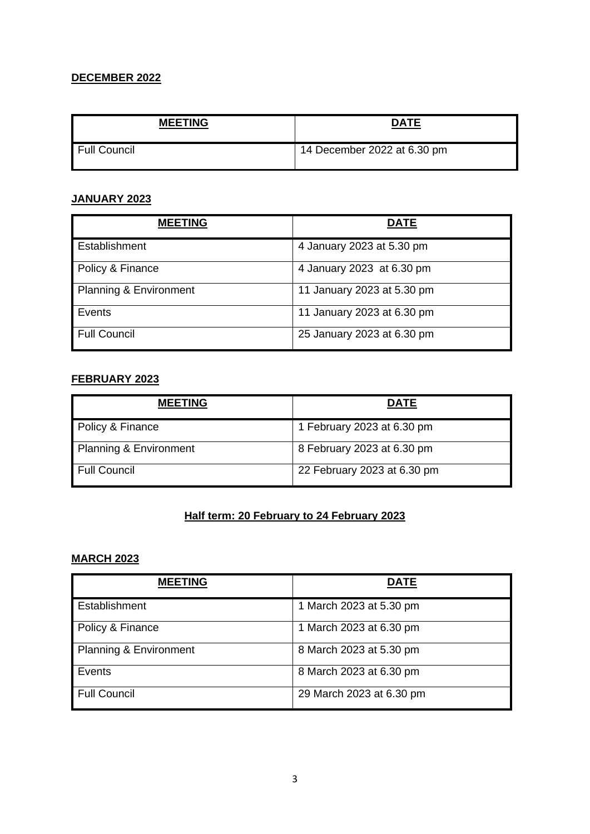## **DECEMBER 2022**

| <b>MEETING</b> | <b>DATE</b>                 |
|----------------|-----------------------------|
| Full Council   | 14 December 2022 at 6.30 pm |

#### **JANUARY 2023**

| <b>MEETING</b>         | DATE                       |
|------------------------|----------------------------|
| Establishment          | 4 January 2023 at 5.30 pm  |
| Policy & Finance       | 4 January 2023 at 6.30 pm  |
| Planning & Environment | 11 January 2023 at 5.30 pm |
| l Events               | 11 January 2023 at 6.30 pm |
| Full Council           | 25 January 2023 at 6.30 pm |

#### **FEBRUARY 2023**

| <b>MEETING</b>         | <b>DATE</b>                 |
|------------------------|-----------------------------|
| Policy & Finance       | 1 February 2023 at 6.30 pm  |
| Planning & Environment | 8 February 2023 at 6.30 pm  |
| Full Council           | 22 February 2023 at 6.30 pm |

## **Half term: 20 February to 24 February 2023**

## **MARCH 2023**

| <b>MEETING</b>         | <b>DATE</b>              |
|------------------------|--------------------------|
| Establishment          | 1 March 2023 at 5.30 pm  |
| Policy & Finance       | 1 March 2023 at 6.30 pm  |
| Planning & Environment | 8 March 2023 at 5.30 pm  |
| Events                 | 8 March 2023 at 6.30 pm  |
| Full Council           | 29 March 2023 at 6.30 pm |